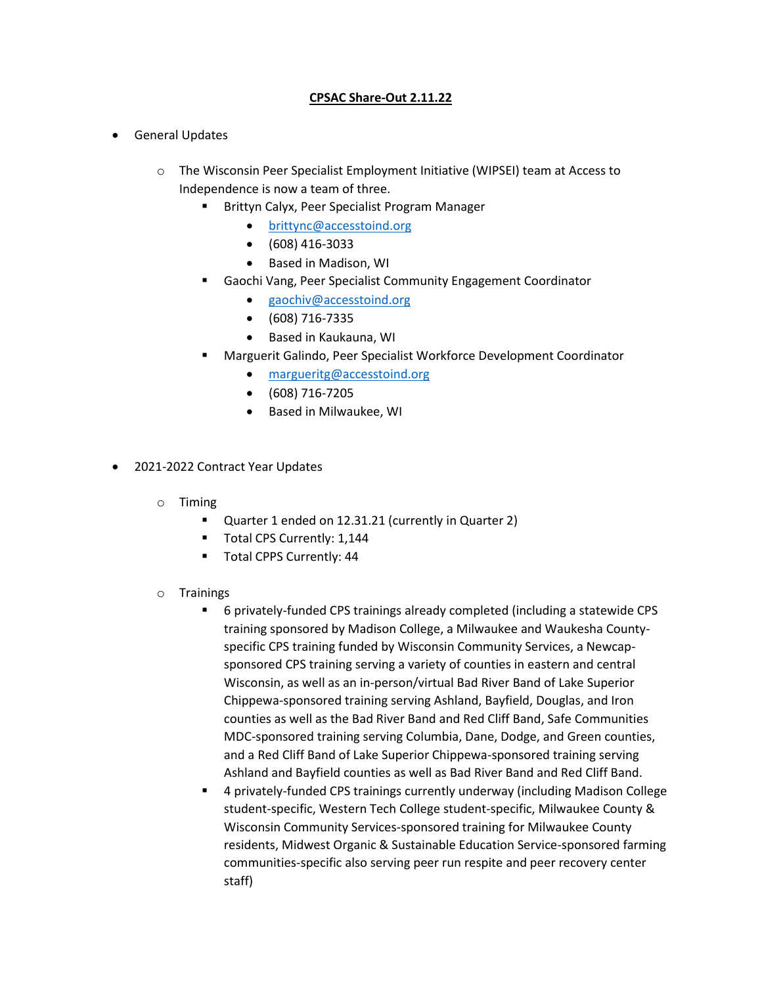## **CPSAC Share-Out 2.11.22**

- General Updates
	- o The Wisconsin Peer Specialist Employment Initiative (WIPSEI) team at Access to Independence is now a team of three.
		- **Brittyn Calyx, Peer Specialist Program Manager** 
			- [brittync@accesstoind.org](mailto:brittync@accesstoind.org)
			- (608) 416-3033
			- Based in Madison, WI
		- Gaochi Vang, Peer Specialist Community Engagement Coordinator
			- [gaochiv@accesstoind.org](mailto:gaochiv@accesstoind.org)
			- (608) 716-7335
			- Based in Kaukauna, WI
		- Marguerit Galindo, Peer Specialist Workforce Development Coordinator
			- [margueritg@accesstoind.org](mailto:margueritg@accesstoind.org)
			- (608) 716-7205
			- **•** Based in Milwaukee, WI
- 2021-2022 Contract Year Updates
	- o Timing
		- Quarter 1 ended on 12.31.21 (currently in Quarter 2)
		- **Total CPS Currently: 1,144**
		- Total CPPS Currently: 44
	- o Trainings
		- 6 privately-funded CPS trainings already completed (including a statewide CPS training sponsored by Madison College, a Milwaukee and Waukesha Countyspecific CPS training funded by Wisconsin Community Services, a Newcapsponsored CPS training serving a variety of counties in eastern and central Wisconsin, as well as an in-person/virtual Bad River Band of Lake Superior Chippewa-sponsored training serving Ashland, Bayfield, Douglas, and Iron counties as well as the Bad River Band and Red Cliff Band, Safe Communities MDC-sponsored training serving Columbia, Dane, Dodge, and Green counties, and a Red Cliff Band of Lake Superior Chippewa-sponsored training serving Ashland and Bayfield counties as well as Bad River Band and Red Cliff Band.
		- 4 privately-funded CPS trainings currently underway (including Madison College student-specific, Western Tech College student-specific, Milwaukee County & Wisconsin Community Services-sponsored training for Milwaukee County residents, Midwest Organic & Sustainable Education Service-sponsored farming communities-specific also serving peer run respite and peer recovery center staff)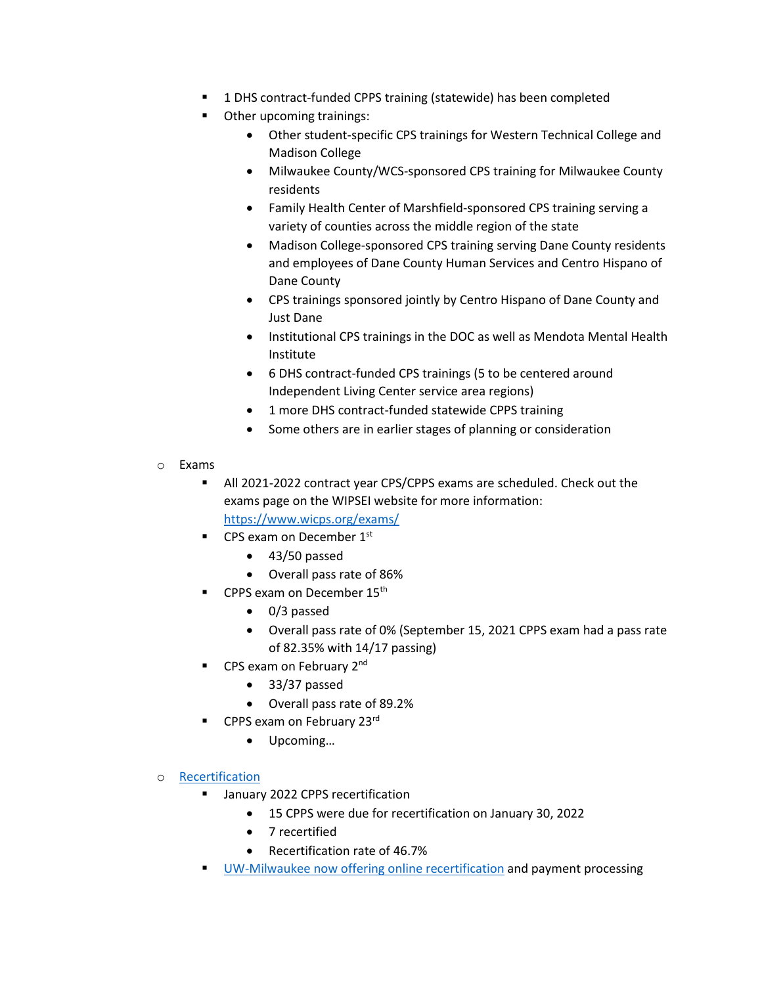- 1 DHS contract-funded CPPS training (statewide) has been completed
- Other upcoming trainings:
	- Other student-specific CPS trainings for Western Technical College and Madison College
	- Milwaukee County/WCS-sponsored CPS training for Milwaukee County residents
	- Family Health Center of Marshfield-sponsored CPS training serving a variety of counties across the middle region of the state
	- Madison College-sponsored CPS training serving Dane County residents and employees of Dane County Human Services and Centro Hispano of Dane County
	- CPS trainings sponsored jointly by Centro Hispano of Dane County and Just Dane
	- Institutional CPS trainings in the DOC as well as Mendota Mental Health Institute
	- 6 DHS contract-funded CPS trainings (5 to be centered around Independent Living Center service area regions)
	- 1 more DHS contract-funded statewide CPPS training
	- Some others are in earlier stages of planning or consideration
- o Exams
	- All 2021-2022 contract year CPS/CPPS exams are scheduled. Check out the exams page on the WIPSEI website for more information: <https://www.wicps.org/exams/>
	- $\blacksquare$  CPS exam on December 1st
		- 43/50 passed
		- Overall pass rate of 86%
		- CPPS exam on December 15<sup>th</sup>
			- 0/3 passed
			- Overall pass rate of 0% (September 15, 2021 CPPS exam had a pass rate of 82.35% with 14/17 passing)
	- CPS exam on February 2<sup>nd</sup>
		- 33/37 passed
		- Overall pass rate of 89.2%
	- CPPS exam on February 23rd
		- Upcoming…
- o [Recertification](https://www.wicps.org/recertification/)
	- January 2022 CPPS recertification
		- 15 CPPS were due for recertification on January 30, 2022
		- 7 recertified
		- Recertification rate of 46.7%
	- [UW-Milwaukee now offering online recertification](https://uwm.edu/sce/program_area/human-services/wisconsin-mental-health-peer-specialist-certification/) and payment processing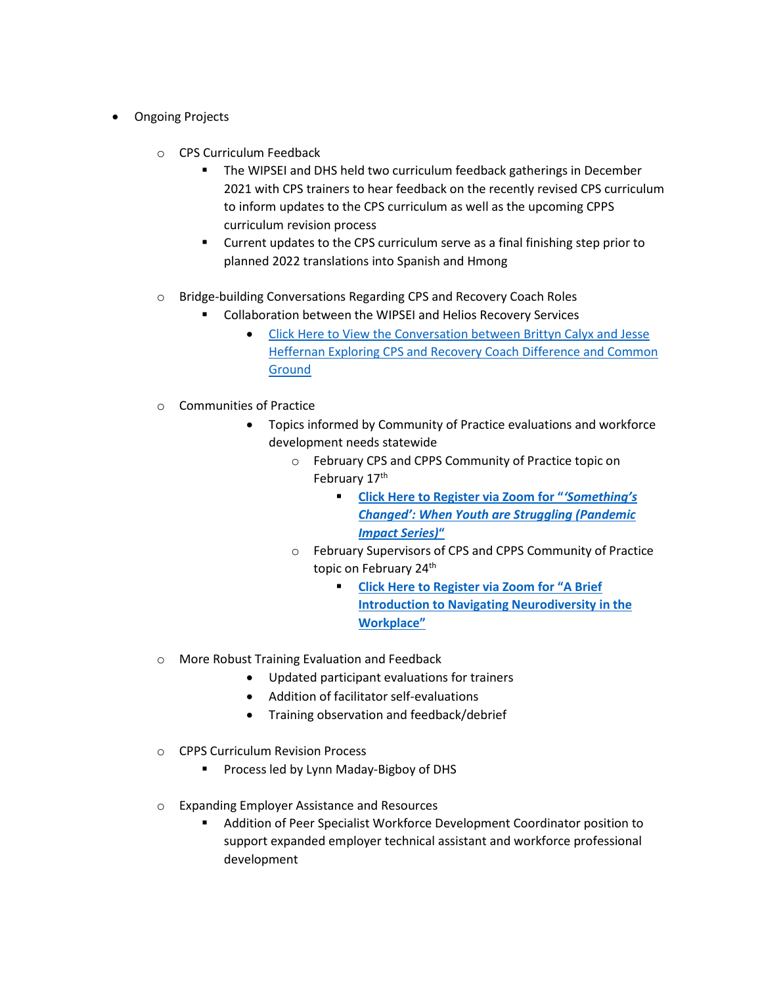- Ongoing Projects
	- o CPS Curriculum Feedback
		- The WIPSEI and DHS held two curriculum feedback gatherings in December 2021 with CPS trainers to hear feedback on the recently revised CPS curriculum to inform updates to the CPS curriculum as well as the upcoming CPPS curriculum revision process
		- Current updates to the CPS curriculum serve as a final finishing step prior to planned 2022 translations into Spanish and Hmong
	- o Bridge-building Conversations Regarding CPS and Recovery Coach Roles
		- Collaboration between the WIPSEI and Helios Recovery Services
			- [Click Here to View the Conversation between Brittyn Calyx and Jesse](https://www.wicps.org/certified-peer-specialist-recovery-coaching-conversations/)  [Heffernan Exploring CPS and Recovery Coach Difference and Common](https://www.wicps.org/certified-peer-specialist-recovery-coaching-conversations/)  [Ground](https://www.wicps.org/certified-peer-specialist-recovery-coaching-conversations/)
	- o Communities of Practice
		- Topics informed by Community of Practice evaluations and workforce development needs statewide
			- o February CPS and CPPS Community of Practice topic on February 17<sup>th</sup>
				- **[Click Here to Register via Zoom for "](https://us02web.zoom.us/meeting/register/tZApceqrpj0uHtQDQs0Kfnh58YAiFWkXUcu3)***'Something's [Changed': When Youth are Struggling \(](https://us02web.zoom.us/meeting/register/tZApceqrpj0uHtQDQs0Kfnh58YAiFWkXUcu3)Pandemic [Impact Series\)](https://us02web.zoom.us/meeting/register/tZApceqrpj0uHtQDQs0Kfnh58YAiFWkXUcu3)***"**
			- o February Supervisors of CPS and CPPS Community of Practice topic on February 24<sup>th</sup>
				- **[Click Here to Register via Zoom for "A Brief](https://us02web.zoom.us/meeting/register/tZUpdeyuqT4tGdK6jr_dYpANVJPfGeHwPwkU)  [Introduction to Navigating Neurodiversity in the](https://us02web.zoom.us/meeting/register/tZUpdeyuqT4tGdK6jr_dYpANVJPfGeHwPwkU)  [Workplace"](https://us02web.zoom.us/meeting/register/tZUpdeyuqT4tGdK6jr_dYpANVJPfGeHwPwkU)**
	- o More Robust Training Evaluation and Feedback
		- Updated participant evaluations for trainers
		- Addition of facilitator self-evaluations
		- Training observation and feedback/debrief
	- o CPPS Curriculum Revision Process
		- Process led by Lynn Maday-Bigboy of DHS
	- o Expanding Employer Assistance and Resources
		- Addition of Peer Specialist Workforce Development Coordinator position to support expanded employer technical assistant and workforce professional development